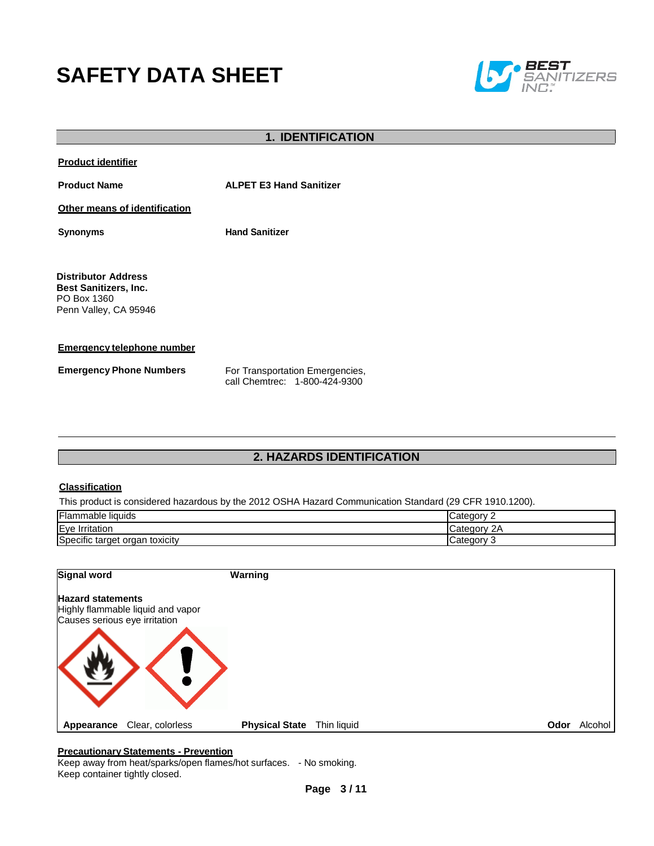# **SAFETY DATA SHEET**



| <b>1. IDENTIFICATION</b>                                                                           |                                                                  |  |
|----------------------------------------------------------------------------------------------------|------------------------------------------------------------------|--|
| <b>Product identifier</b>                                                                          |                                                                  |  |
| <b>Product Name</b>                                                                                | <b>ALPET E3 Hand Sanitizer</b>                                   |  |
| Other means of identification                                                                      |                                                                  |  |
| <b>Synonyms</b>                                                                                    | <b>Hand Sanitizer</b>                                            |  |
| <b>Distributor Address</b><br><b>Best Sanitizers, Inc.</b><br>PO Box 1360<br>Penn Valley, CA 95946 |                                                                  |  |
| <b>Emergency telephone number</b>                                                                  |                                                                  |  |
| <b>Emergency Phone Numbers</b>                                                                     | For Transportation Emergencies,<br>call Chemtrec: 1-800-424-9300 |  |

# **2. HAZARDS IDENTIFICATION**

### **Classification**

This product is considered hazardous by the 2012 OSHA Hazard Communication Standard (29 CFR 1910.1200).

| <b>Flammable liquids</b>             | ataaan        |
|--------------------------------------|---------------|
| Eye<br>Irritation                    | ⊶ategory:∵    |
| Specific target<br>toxicity<br>organ | Category<br>ີ |

| Signal word                                                                                    |                  | Warning               |             |      |         |
|------------------------------------------------------------------------------------------------|------------------|-----------------------|-------------|------|---------|
| <b>Hazard statements</b><br>Highly flammable liquid and vapor<br>Causes serious eye irritation |                  |                       |             |      |         |
|                                                                                                |                  |                       |             |      |         |
|                                                                                                |                  |                       |             |      |         |
| Appearance                                                                                     | Clear, colorless | <b>Physical State</b> | Thin liquid | Odor | Alcohol |

### **Precautionary Statements - Prevention**

Keep away from heat/sparks/open flames/hot surfaces. - No smoking. Keep container tightly closed.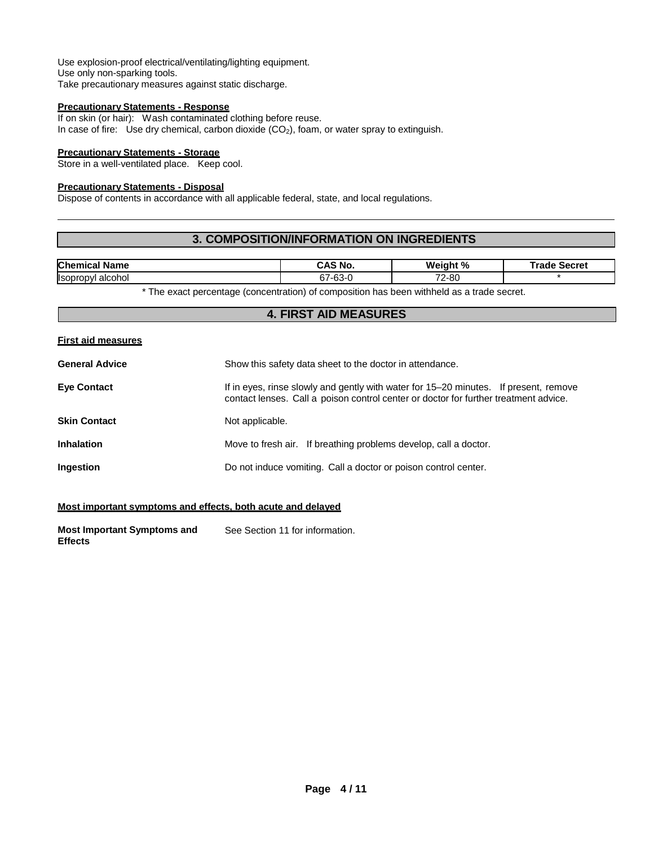Use explosion-proof electrical/ventilating/lighting equipment. Use only non-sparking tools. Take precautionary measures against static discharge.

### **Precautionary Statements - Response**

If on skin (or hair): Wash contaminated clothing before reuse. In case of fire: Use dry chemical, carbon dioxide  $(CO<sub>2</sub>)$ , foam, or water spray to extinguish.

### **Precautionary Statements - Storage**

Store in a well-ventilated place. Keep cool.

#### **Precautionary Statements - Disposal**

Dispose of contents in accordance with all applicable federal, state, and local regulations.

## **3. COMPOSITION/INFORMATION ON INGREDIENTS**

| <b>Chemica</b><br>Name             | . .<br><sup>ৰ</sup> No.<br>$\cdots$  | Weight %<br>70                       | ີະຄະ<br>inrrn'<br>га<br>116<br>JELIEI |
|------------------------------------|--------------------------------------|--------------------------------------|---------------------------------------|
| <b>I</b> soprop<br>alcohol<br>nvr. | $\sim$<br>$\sim$ $\sim$<br>7-1<br>ບມ | $\overline{\phantom{a}}$<br>$2 - 80$ |                                       |

\* The exact percentage (concentration) of composition has been withheld as a trade secret.

### **4. FIRST AID MEASURES**

#### **First aid measures**

| <b>General Advice</b> | Show this safety data sheet to the doctor in attendance.                                                                                                                     |
|-----------------------|------------------------------------------------------------------------------------------------------------------------------------------------------------------------------|
| <b>Eye Contact</b>    | If in eyes, rinse slowly and gently with water for 15–20 minutes. If present, remove<br>contact lenses. Call a poison control center or doctor for further treatment advice. |
| Skin Contact          | Not applicable.                                                                                                                                                              |
| <b>Inhalation</b>     | Move to fresh air. If breathing problems develop, call a doctor.                                                                                                             |
| Ingestion             | Do not induce vomiting. Call a doctor or poison control center.                                                                                                              |
|                       |                                                                                                                                                                              |

### **Most important symptoms and effects, both acute and delayed**

**Most Important Symptoms and Effects** See Section 11 for information.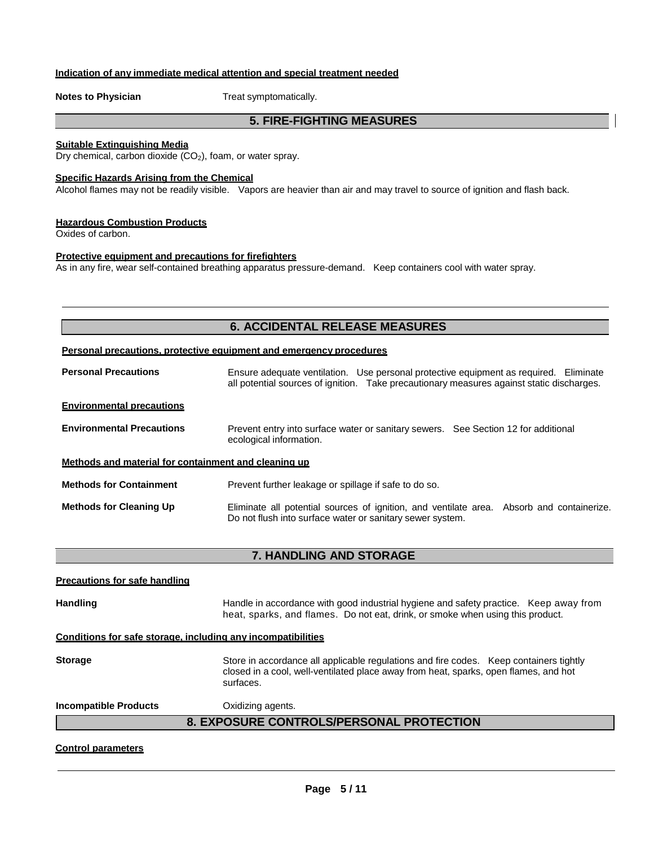## **Indication of any immediate medical attention and special treatment needed**

**Notes to Physician** Treat symptomatically.

# **5. FIRE-FIGHTING MEASURES**

### **Suitable Extinguishing Media**

Dry chemical, carbon dioxide (CO<sub>2</sub>), foam, or water spray.

### **Specific Hazards Arising from the Chemical**

Alcohol flames may not be readily visible. Vapors are heavier than air and may travel to source of ignition and flash back.

### **Hazardous Combustion Products**

Oxides of carbon.

#### **Protective equipment and precautions for firefighters**

As in any fire, wear self-contained breathing apparatus pressure-demand. Keep containers cool with water spray.

# **6. ACCIDENTAL RELEASE MEASURES**

### **Personal precautions, protective equipment and emergency procedures**

| <b>Personal Precautions</b>                          | Ensure adequate ventilation. Use personal protective equipment as required. Eliminate<br>all potential sources of ignition. Take precautionary measures against static discharges. |  |
|------------------------------------------------------|------------------------------------------------------------------------------------------------------------------------------------------------------------------------------------|--|
| <b>Environmental precautions</b>                     |                                                                                                                                                                                    |  |
| <b>Environmental Precautions</b>                     | Prevent entry into surface water or sanitary sewers. See Section 12 for additional<br>ecological information.                                                                      |  |
| Methods and material for containment and cleaning up |                                                                                                                                                                                    |  |
| <b>Methods for Containment</b>                       | Prevent further leakage or spillage if safe to do so.                                                                                                                              |  |
| <b>Methods for Cleaning Up</b>                       | Eliminate all potential sources of ignition, and ventilate area. Absorb and containerize.<br>Do not flush into surface water or sanitary sewer system.                             |  |

### **7. HANDLING AND STORAGE**

| <b>Precautions for safe handling</b> |                                                                                                                                                                                             |
|--------------------------------------|---------------------------------------------------------------------------------------------------------------------------------------------------------------------------------------------|
| <b>Handling</b>                      | Handle in accordance with good industrial hygiene and safety practice. Keep away from<br>heat, sparks, and flames. Do not eat, drink, or smoke when using this product.                     |
|                                      | Conditions for safe storage, including any incompatibilities                                                                                                                                |
| <b>Storage</b>                       | Store in accordance all applicable regulations and fire codes. Keep containers tightly<br>closed in a cool, well-ventilated place away from heat, sparks, open flames, and hot<br>surfaces. |
| <b>Incompatible Products</b>         | Oxidizing agents.                                                                                                                                                                           |
|                                      | 8. EXPOSURE CONTROLS/PERSONAL PROTECTION                                                                                                                                                    |
|                                      |                                                                                                                                                                                             |

### **Control parameters**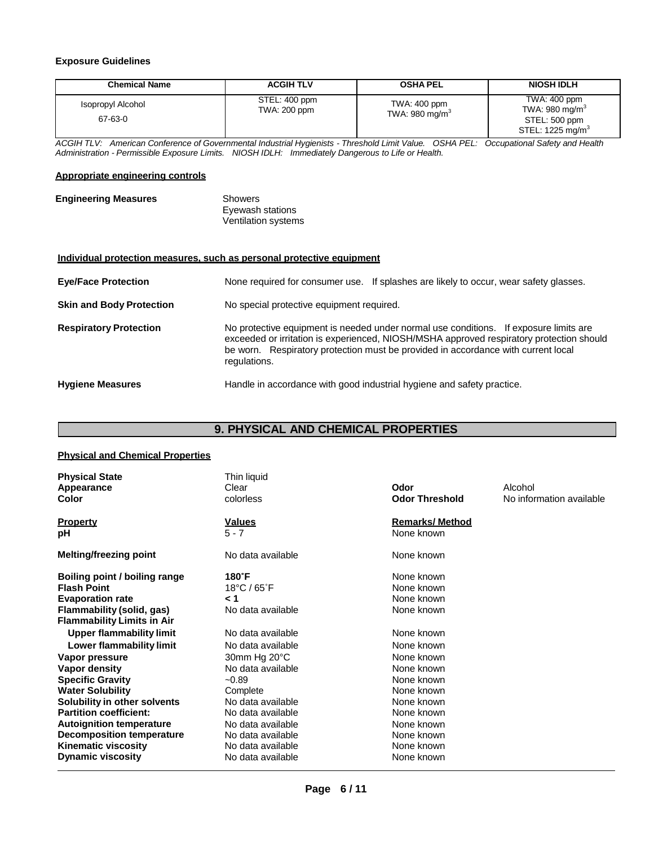### **Exposure Guidelines**

| <b>Chemical Name</b>         | <b>ACGIH TLV</b>              | <b>OSHA PEL</b>                            | <b>NIOSH IDLH</b>                                                                           |
|------------------------------|-------------------------------|--------------------------------------------|---------------------------------------------------------------------------------------------|
| Isopropyl Alcohol<br>67-63-0 | STEL: 400 ppm<br>TWA: 200 ppm | TWA: 400 ppm<br>TWA: 980 mg/m <sup>3</sup> | TWA: 400 ppm<br>TWA: 980 mg/m <sup>3</sup><br>STEL: 500 ppm<br>STEL: 1225 mg/m <sup>3</sup> |

*ACGIH TLV: American Conference of Governmental Industrial Hygienists - Threshold Limit Value. OSHA PEL: Occupational Safety and Health Administration - Permissible Exposure Limits. NIOSH IDLH: Immediately Dangerous to Life or Health.*

### **Appropriate engineering controls**

| <b>Engineering Measures</b> | Showers                    |  |
|-----------------------------|----------------------------|--|
|                             | Eyewash stations           |  |
|                             | <b>Ventilation systems</b> |  |

### **Individual protection measures, such as personal protective equipment**

| <b>Eye/Face Protection</b>      | None required for consumer use. If splashes are likely to occur, wear safety glasses.                                                                                                                                                                                                  |
|---------------------------------|----------------------------------------------------------------------------------------------------------------------------------------------------------------------------------------------------------------------------------------------------------------------------------------|
| <b>Skin and Body Protection</b> | No special protective equipment required.                                                                                                                                                                                                                                              |
| <b>Respiratory Protection</b>   | No protective equipment is needed under normal use conditions. If exposure limits are<br>exceeded or irritation is experienced, NIOSH/MSHA approved respiratory protection should<br>be worn. Respiratory protection must be provided in accordance with current local<br>regulations. |
| <b>Hygiene Measures</b>         | Handle in accordance with good industrial hygiene and safety practice.                                                                                                                                                                                                                 |

# **9. PHYSICAL AND CHEMICAL PROPERTIES**

### **Physical and Chemical Properties**

| <b>Physical State</b><br>Appearance<br>Color                                                                                                     | Thin liquid<br>Clear<br>colorless                | Odor<br><b>Odor Threshold</b>                        | Alcohol<br>No information available |
|--------------------------------------------------------------------------------------------------------------------------------------------------|--------------------------------------------------|------------------------------------------------------|-------------------------------------|
| Property                                                                                                                                         | <b>Values</b>                                    | <b>Remarks/ Method</b>                               |                                     |
| pН                                                                                                                                               | $5 - 7$                                          | None known                                           |                                     |
| Melting/freezing point                                                                                                                           | No data available                                | None known                                           |                                     |
| Boiling point / boiling range<br><b>Flash Point</b><br><b>Evaporation rate</b><br>Flammability (solid, gas)<br><b>Flammability Limits in Air</b> | 180°F<br>18°C / 65°F<br>1 ><br>No data available | None known<br>None known<br>None known<br>None known |                                     |
| <b>Upper flammability limit</b>                                                                                                                  | No data available                                | None known                                           |                                     |
| Lower flammability limit                                                                                                                         | No data available                                | None known                                           |                                     |
| Vapor pressure                                                                                                                                   | 30mm Hg 20°C                                     | None known                                           |                                     |
| <b>Vapor density</b>                                                                                                                             | No data available                                | None known                                           |                                     |
| <b>Specific Gravity</b>                                                                                                                          | $-0.89$                                          | None known                                           |                                     |
| <b>Water Solubility</b>                                                                                                                          | Complete                                         | None known                                           |                                     |
| Solubility in other solvents                                                                                                                     | No data available                                | None known                                           |                                     |
| <b>Partition coefficient:</b>                                                                                                                    | No data available                                | None known                                           |                                     |
| <b>Autoignition temperature</b>                                                                                                                  | No data available                                | None known                                           |                                     |
| <b>Decomposition temperature</b>                                                                                                                 | No data available                                | None known                                           |                                     |
| <b>Kinematic viscosity</b>                                                                                                                       | No data available                                | None known                                           |                                     |
| <b>Dynamic viscosity</b>                                                                                                                         | No data available                                | None known                                           |                                     |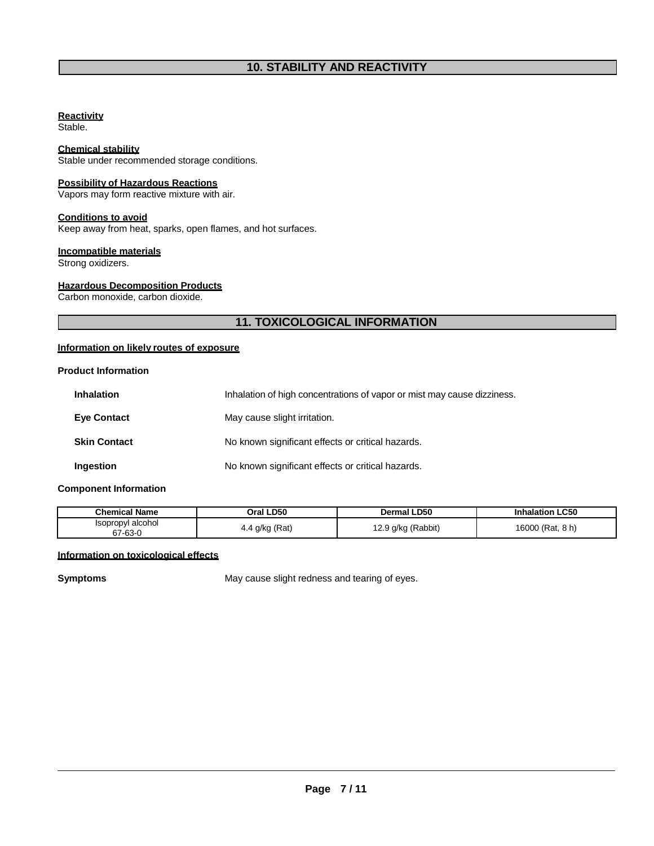### **Reactivity**

Stable.

### **Chemical stability**

Stable under recommended storage conditions.

# **Possibility of Hazardous Reactions**

Vapors may form reactive mixture with air.

### **Conditions to avoid**

Keep away from heat, sparks, open flames, and hot surfaces.

### **Incompatible materials**

Strong oxidizers.

### **Hazardous Decomposition Products**

Carbon monoxide, carbon dioxide.

# **11. TOXICOLOGICAL INFORMATION**

## **Information on likely routes of exposure**

### **Product Information**

| <b>Inhalation</b>   | Inhalation of high concentrations of vapor or mist may cause dizziness. |
|---------------------|-------------------------------------------------------------------------|
| <b>Eye Contact</b>  | May cause slight irritation.                                            |
| <b>Skin Contact</b> | No known significant effects or critical hazards.                       |
| Ingestion           | No known significant effects or critical hazards.                       |

### **Component Information**

| Chemical Name                            | Oral LD50      | <b>LD50</b><br>Dermal           | <b>LC50</b><br>Inhalation |
|------------------------------------------|----------------|---------------------------------|---------------------------|
| l alcohol<br><b>Isopropyl</b><br>67-63-0 | 4.4 g/kg (Rat) | ) g/kg (Rabbit)<br>$\epsilon$ . | 8 h)<br>16000<br>ੇ (Rat.  |

### **Information on toxicological effects**

**Symptoms** May cause slight redness and tearing of eyes.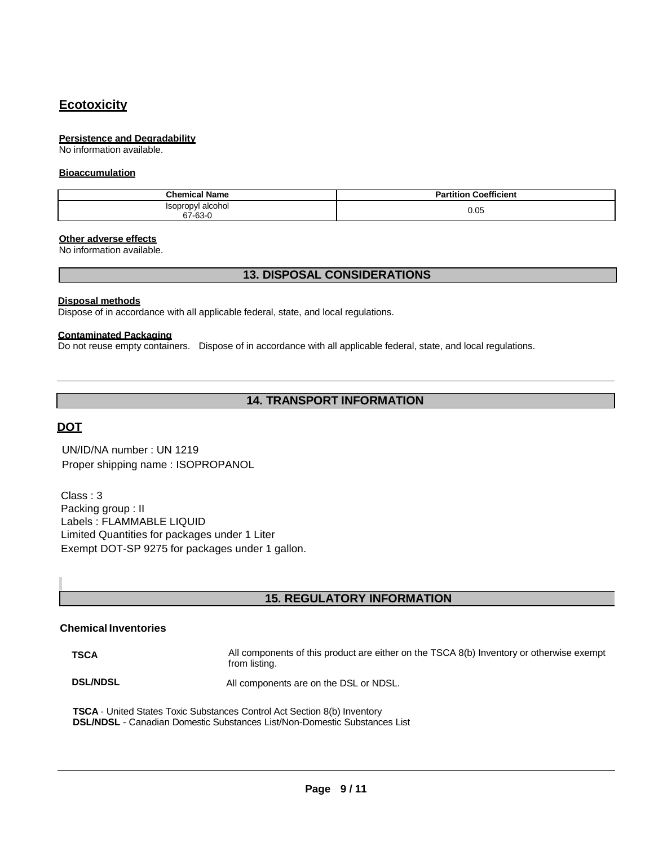# **Ecotoxicity**

### **Persistence and Degradability**

No information available.

### **Bioaccumulation**

| <b>Chemical Name</b>               | <b>Partition Coefficient</b> |
|------------------------------------|------------------------------|
| Isopropyl alcohol<br>67-63-0<br>C7 | 0.05                         |

### **Other adverse effects**

No information available.

### **13. DISPOSAL CONSIDERATIONS**

### **Disposal methods**

Dispose of in accordance with all applicable federal, state, and local regulations.

### **Contaminated Packaging**

Do not reuse empty containers. Dispose of in accordance with all applicable federal, state, and local regulations.

# **14. TRANSPORT INFORMATION**

# **DOT**

UN/ID/NA number : UN 1219 Proper shipping name : ISOPROPANOL

Class : 3 Packing group : II Labels : FLAMMABLE LIQUID Limited Quantities for packages under 1 Liter Exempt DOT-SP 9275 for packages under 1 gallon.

# **15. REGULATORY INFORMATION**

# **Chemical Inventories**

**TSCA** All components of this product are either on the TSCA 8(b) Inventory or otherwise exempt from listing.

**DSL/NDSL** All components are on the DSL or NDSL.

**TSCA** - United States Toxic Substances Control Act Section 8(b) Inventory **DSL/NDSL** - Canadian Domestic Substances List/Non-Domestic Substances List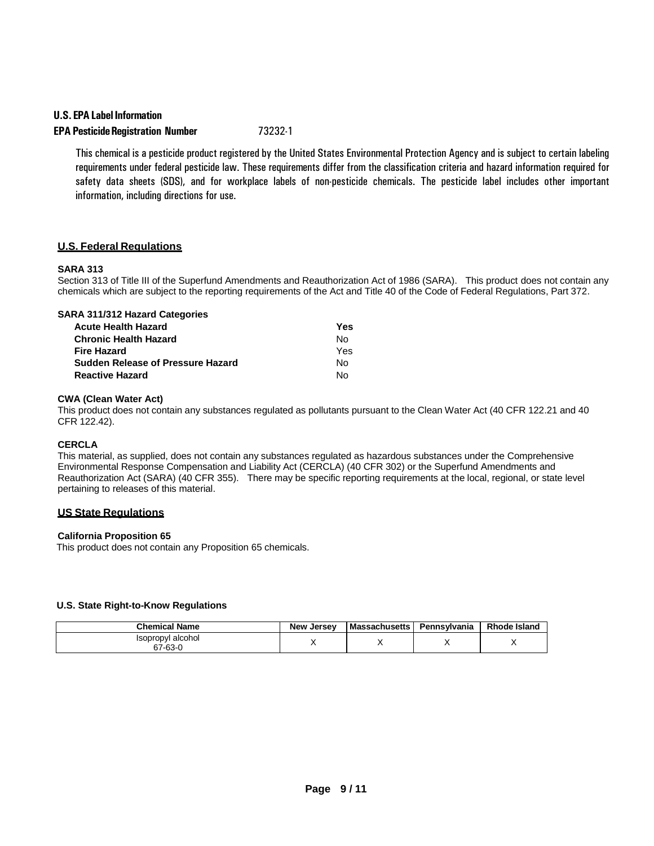### **U.S. EPA Label Information**

# **EPA PesticideRegistration Number** 73232-1

This chemical is a pesticide product registered by the United States Environmental Protection Agency and is subject to certain labeling requirements under federal pesticide law. These requirements differ from the classification criteria and hazard information required for safety data sheets (SDS), and for workplace labels of non-pesticide chemicals. The pesticide label includes other important information, including directions for use.

### **U.S. Federal Regulations**

### **SARA 313**

Section 313 of Title III of the Superfund Amendments and Reauthorization Act of 1986 (SARA). This product does not contain any chemicals which are subject to the reporting requirements of the Act and Title 40 of the Code of Federal Regulations, Part 372.

| SARA 311/312 Hazard Categories           |     |
|------------------------------------------|-----|
| <b>Acute Health Hazard</b>               | Yes |
| <b>Chronic Health Hazard</b>             | Nο  |
| <b>Fire Hazard</b>                       | Yes |
| <b>Sudden Release of Pressure Hazard</b> | Nο  |
| <b>Reactive Hazard</b>                   | N٥  |
|                                          |     |

### **CWA (Clean Water Act)**

This product does not contain any substances regulated as pollutants pursuant to the Clean Water Act (40 CFR 122.21 and 40 CFR 122.42).

### **CERCLA**

This material, as supplied, does not contain any substances regulated as hazardous substances under the Comprehensive Environmental Response Compensation and Liability Act (CERCLA) (40 CFR 302) or the Superfund Amendments and Reauthorization Act (SARA) (40 CFR 355). There may be specific reporting requirements at the local, regional, or state level pertaining to releases of this material.

### **US State Regulations**

### **California Proposition 65**

This product does not contain any Proposition 65 chemicals.

### **U.S. State Right-to-Know Regulations**

| <b>Chemical Name</b>                   | <b>New Jersey</b> | <b>Massachusetts</b> | Pennsvlvania | <b>Rhode Island</b> |
|----------------------------------------|-------------------|----------------------|--------------|---------------------|
| Isopropyl alcohol<br>67-63-0<br>$\sim$ |                   |                      |              |                     |